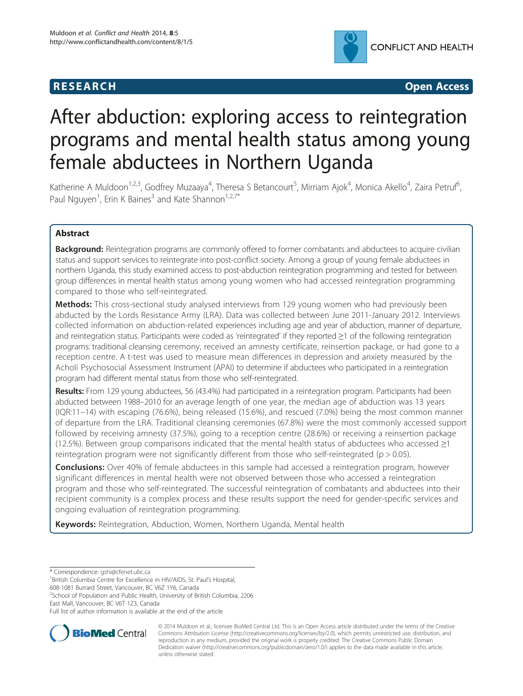# **RESEARCH CHINESE ARCH CHINESE ARCH CHINESE ARCH**



# After abduction: exploring access to reintegration programs and mental health status among young female abductees in Northern Uganda

Katherine A Muldoon<sup>1,2,3</sup>, Godfrey Muzaaya<sup>4</sup>, Theresa S Betancourt<sup>5</sup>, Mirriam Ajok<sup>4</sup>, Monica Akello<sup>4</sup>, Zaira Petruf<sup>6</sup> , Paul Nguyen<sup>1</sup>, Erin K Baines<sup>3</sup> and Kate Shannon<sup>1,2,7\*</sup>

# Abstract

**Background:** Reintegration programs are commonly offered to former combatants and abductees to acquire civilian status and support services to reintegrate into post-conflict society. Among a group of young female abductees in northern Uganda, this study examined access to post-abduction reintegration programming and tested for between group differences in mental health status among young women who had accessed reintegration programming compared to those who self-reintegrated.

Methods: This cross-sectional study analysed interviews from 129 young women who had previously been abducted by the Lords Resistance Army (LRA). Data was collected between June 2011-January 2012. Interviews collected information on abduction-related experiences including age and year of abduction, manner of departure, and reintegration status. Participants were coded as 'reintegrated' if they reported ≥1 of the following reintegration programs: traditional cleansing ceremony, received an amnesty certificate, reinsertion package, or had gone to a reception centre. A t-test was used to measure mean differences in depression and anxiety measured by the Acholi Psychosocial Assessment Instrument (APAI) to determine if abductees who participated in a reintegration program had different mental status from those who self-reintegrated.

Results: From 129 young abductees, 56 (43.4%) had participated in a reintegration program. Participants had been abducted between 1988–2010 for an average length of one year, the median age of abduction was 13 years (IQR:11–14) with escaping (76.6%), being released (15.6%), and rescued (7.0%) being the most common manner of departure from the LRA. Traditional cleansing ceremonies (67.8%) were the most commonly accessed support followed by receiving amnesty (37.5%), going to a reception centre (28.6%) or receiving a reinsertion package (12.5%). Between group comparisons indicated that the mental health status of abductees who accessed ≥1 reintegration program were not significantly different from those who self-reintegrated ( $p > 0.05$ ).

**Conclusions:** Over 40% of female abductees in this sample had accessed a reintegration program, however significant differences in mental health were not observed between those who accessed a reintegration program and those who self-reintegrated. The successful reintegration of combatants and abductees into their recipient community is a complex process and these results support the need for gender-specific services and ongoing evaluation of reintegration programming.

Keywords: Reintegration, Abduction, Women, Northern Uganda, Mental health

\* Correspondence: [gshi@cfenet.ubc.ca](mailto:gshi@cfenet.ubc.ca) <sup>1</sup>

<sup>1</sup> British Columbia Centre for Excellence in HIV/AIDS, St. Paul's Hospital,

608-1081 Burrard Street, Vancouver, BC V6Z 1Y6, Canada

<sup>2</sup>School of Population and Public Health, University of British Columbia, 2206 East Mall, Vancouver, BC V6T 1Z3, Canada

Full list of author information is available at the end of the article



© 2014 Muldoon et al.; licensee BioMed Central Ltd. This is an Open Access article distributed under the terms of the Creative Commons Attribution License [\(http://creativecommons.org/licenses/by/2.0\)](http://creativecommons.org/licenses/by/2.0), which permits unrestricted use, distribution, and reproduction in any medium, provided the original work is properly credited. The Creative Commons Public Domain Dedication waiver [\(http://creativecommons.org/publicdomain/zero/1.0/](http://creativecommons.org/publicdomain/zero/1.0/)) applies to the data made available in this article, unless otherwise stated.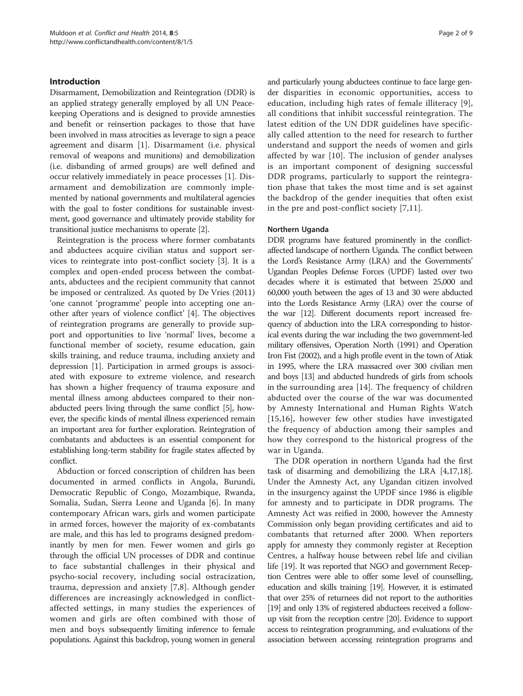# Introduction

Disarmament, Demobilization and Reintegration (DDR) is an applied strategy generally employed by all UN Peacekeeping Operations and is designed to provide amnesties and benefit or reinsertion packages to those that have been involved in mass atrocities as leverage to sign a peace agreement and disarm [[1](#page-7-0)]. Disarmament (i.e. physical removal of weapons and munitions) and demobilization (i.e. disbanding of armed groups) are well defined and occur relatively immediately in peace processes [[1](#page-7-0)]. Disarmament and demobilization are commonly implemented by national governments and multilateral agencies with the goal to foster conditions for sustainable investment, good governance and ultimately provide stability for transitional justice mechanisms to operate [[2](#page-7-0)].

Reintegration is the process where former combatants and abductees acquire civilian status and support services to reintegrate into post-conflict society [\[3\]](#page-7-0). It is a complex and open-ended process between the combatants, abductees and the recipient community that cannot be imposed or centralized. As quoted by De Vries (2011) 'one cannot 'programme' people into accepting one another after years of violence conflict' [[4\]](#page-7-0). The objectives of reintegration programs are generally to provide support and opportunities to live 'normal' lives, become a functional member of society, resume education, gain skills training, and reduce trauma, including anxiety and depression [[1](#page-7-0)]. Participation in armed groups is associated with exposure to extreme violence, and research has shown a higher frequency of trauma exposure and mental illness among abductees compared to their nonabducted peers living through the same conflict [[5](#page-7-0)], however, the specific kinds of mental illness experienced remain an important area for further exploration. Reintegration of combatants and abductees is an essential component for establishing long-term stability for fragile states affected by conflict.

Abduction or forced conscription of children has been documented in armed conflicts in Angola, Burundi, Democratic Republic of Congo, Mozambique, Rwanda, Somalia, Sudan, Sierra Leone and Uganda [\[6\]](#page-7-0). In many contemporary African wars, girls and women participate in armed forces, however the majority of ex-combatants are male, and this has led to programs designed predominantly by men for men. Fewer women and girls go through the official UN processes of DDR and continue to face substantial challenges in their physical and psycho-social recovery, including social ostracization, trauma, depression and anxiety [\[7](#page-7-0),[8\]](#page-7-0). Although gender differences are increasingly acknowledged in conflictaffected settings, in many studies the experiences of women and girls are often combined with those of men and boys subsequently limiting inference to female populations. Against this backdrop, young women in general and particularly young abductees continue to face large gender disparities in economic opportunities, access to education, including high rates of female illiteracy [[9](#page-7-0)], all conditions that inhibit successful reintegration. The latest edition of the UN DDR guidelines have specifically called attention to the need for research to further understand and support the needs of women and girls affected by war [[10\]](#page-7-0). The inclusion of gender analyses is an important component of designing successful DDR programs, particularly to support the reintegration phase that takes the most time and is set against the backdrop of the gender inequities that often exist in the pre and post-conflict society [[7,11](#page-7-0)].

# Northern Uganda

DDR programs have featured prominently in the conflictaffected landscape of northern Uganda. The conflict between the Lord's Resistance Army (LRA) and the Governments' Ugandan Peoples Defense Forces (UPDF) lasted over two decades where it is estimated that between 25,000 and 60,000 youth between the ages of 13 and 30 were abducted into the Lords Resistance Army (LRA) over the course of the war [\[12\]](#page-7-0). Different documents report increased frequency of abduction into the LRA corresponding to historical events during the war including the two government-led military offensives, Operation North (1991) and Operation Iron Fist (2002), and a high profile event in the town of Atiak in 1995, where the LRA massacred over 300 civilian men and boys [\[13](#page-8-0)] and abducted hundreds of girls from schools in the surrounding area [[14](#page-8-0)]. The frequency of children abducted over the course of the war was documented by Amnesty International and Human Rights Watch [[15,16\]](#page-8-0), however few other studies have investigated the frequency of abduction among their samples and how they correspond to the historical progress of the war in Uganda.

The DDR operation in northern Uganda had the first task of disarming and demobilizing the LRA [\[4](#page-7-0)[,17,18](#page-8-0)]. Under the Amnesty Act, any Ugandan citizen involved in the insurgency against the UPDF since 1986 is eligible for amnesty and to participate in DDR programs. The Amnesty Act was reified in 2000, however the Amnesty Commission only began providing certificates and aid to combatants that returned after 2000. When reporters apply for amnesty they commonly register at Reception Centres, a halfway house between rebel life and civilian life [\[19](#page-8-0)]. It was reported that NGO and government Reception Centres were able to offer some level of counselling, education and skills training [\[19](#page-8-0)]. However, it is estimated that over 25% of returnees did not report to the authorities [[19\]](#page-8-0) and only 13% of registered abductees received a followup visit from the reception centre [\[20](#page-8-0)]. Evidence to support access to reintegration programming, and evaluations of the association between accessing reintegration programs and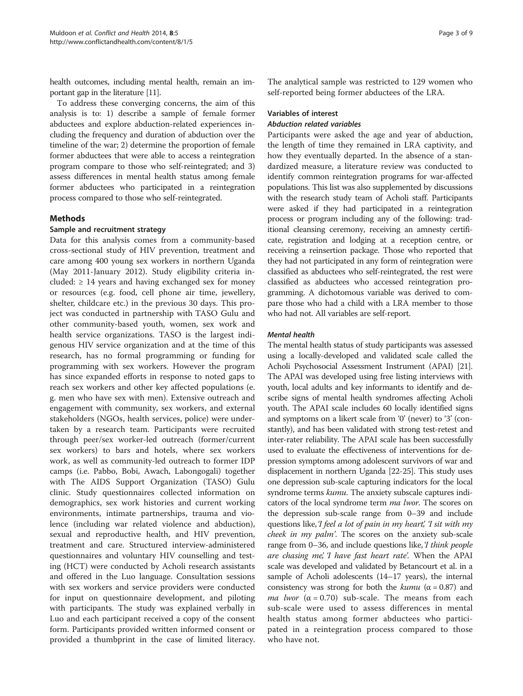health outcomes, including mental health, remain an important gap in the literature [\[11\]](#page-7-0).

To address these converging concerns, the aim of this analysis is to: 1) describe a sample of female former abductees and explore abduction-related experiences including the frequency and duration of abduction over the timeline of the war; 2) determine the proportion of female former abductees that were able to access a reintegration program compare to those who self-reintegrated; and 3) assess differences in mental health status among female former abductees who participated in a reintegration process compared to those who self-reintegrated.

# Methods

# Sample and recruitment strategy

Data for this analysis comes from a community-based cross-sectional study of HIV prevention, treatment and care among 400 young sex workers in northern Uganda (May 2011-January 2012). Study eligibility criteria included:  $\geq$  14 years and having exchanged sex for money or resources (e.g. food, cell phone air time, jewellery, shelter, childcare etc.) in the previous 30 days. This project was conducted in partnership with TASO Gulu and other community-based youth, women, sex work and health service organizations. TASO is the largest indigenous HIV service organization and at the time of this research, has no formal programming or funding for programming with sex workers. However the program has since expanded efforts in response to noted gaps to reach sex workers and other key affected populations (e. g. men who have sex with men). Extensive outreach and engagement with community, sex workers, and external stakeholders (NGOs, health services, police) were undertaken by a research team. Participants were recruited through peer/sex worker-led outreach (former/current sex workers) to bars and hotels, where sex workers work, as well as community-led outreach to former IDP camps (i.e. Pabbo, Bobi, Awach, Labongogali) together with The AIDS Support Organization (TASO) Gulu clinic. Study questionnaires collected information on demographics, sex work histories and current working environments, intimate partnerships, trauma and violence (including war related violence and abduction), sexual and reproductive health, and HIV prevention, treatment and care. Structured interview-administered questionnaires and voluntary HIV counselling and testing (HCT) were conducted by Acholi research assistants and offered in the Luo language. Consultation sessions with sex workers and service providers were conducted for input on questionnaire development, and piloting with participants. The study was explained verbally in Luo and each participant received a copy of the consent form. Participants provided written informed consent or provided a thumbprint in the case of limited literacy.

The analytical sample was restricted to 129 women who self-reported being former abductees of the LRA.

# Variables of interest Abduction related variables

Participants were asked the age and year of abduction, the length of time they remained in LRA captivity, and how they eventually departed. In the absence of a standardized measure, a literature review was conducted to identify common reintegration programs for war-affected populations. This list was also supplemented by discussions with the research study team of Acholi staff. Participants were asked if they had participated in a reintegration process or program including any of the following: traditional cleansing ceremony, receiving an amnesty certificate, registration and lodging at a reception centre, or receiving a reinsertion package. Those who reported that they had not participated in any form of reintegration were classified as abductees who self-reintegrated, the rest were classified as abductees who accessed reintegration programming. A dichotomous variable was derived to compare those who had a child with a LRA member to those who had not. All variables are self-report.

# Mental health

The mental health status of study participants was assessed using a locally-developed and validated scale called the Acholi Psychosocial Assessment Instrument (APAI) [[21](#page-8-0)]. The APAI was developed using free listing interviews with youth, local adults and key informants to identify and describe signs of mental health syndromes affecting Acholi youth. The APAI scale includes 60 locally identified signs and symptoms on a likert scale from '0' (never) to '3' (constantly), and has been validated with strong test-retest and inter-rater reliability. The APAI scale has been successfully used to evaluate the effectiveness of interventions for depression symptoms among adolescent survivors of war and displacement in northern Uganda [[22](#page-8-0)-[25](#page-8-0)]. This study uses one depression sub-scale capturing indicators for the local syndrome terms *kumu*. The anxiety subscale captures indicators of the local syndrome term *ma lwor*. The scores on the depression sub-scale range from 0–39 and include questions like, *I feel a lot of pain in my heart*, *I sit with my cheek in my palm'*. The scores on the anxiety sub-scale range from 0–36, and include questions like, *I think people* are chasing me', 'I have fast heart rate'. When the APAI scale was developed and validated by Betancourt et al. in a sample of Acholi adolescents (14–17 years), the internal consistency was strong for both the  $kumu$  ( $\alpha = 0.87$ ) and *ma lwor* ( $\alpha$  = 0.70) sub-scale. The means from each sub-scale were used to assess differences in mental health status among former abductees who participated in a reintegration process compared to those who have not.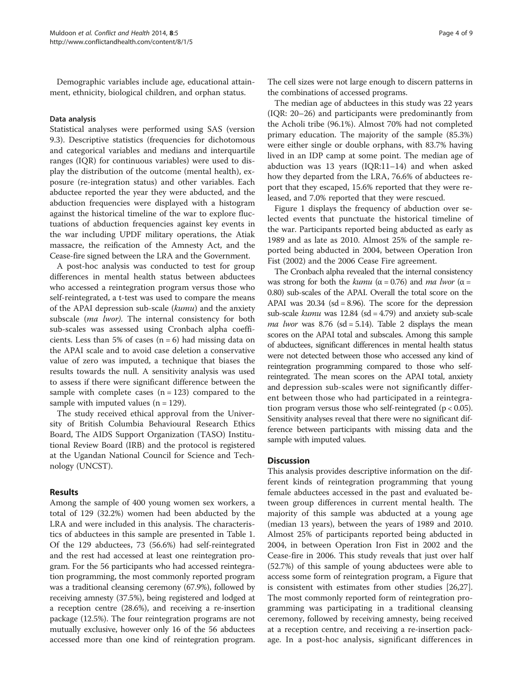Demographic variables include age, educational attainment, ethnicity, biological children, and orphan status.

# Data analysis

Statistical analyses were performed using SAS (version 9.3). Descriptive statistics (frequencies for dichotomous and categorical variables and medians and interquartile ranges (IQR) for continuous variables) were used to display the distribution of the outcome (mental health), exposure (re-integration status) and other variables. Each abductee reported the year they were abducted, and the abduction frequencies were displayed with a histogram against the historical timeline of the war to explore fluctuations of abduction frequencies against key events in the war including UPDF military operations, the Atiak massacre, the reification of the Amnesty Act, and the Cease-fire signed between the LRA and the Government.

A post-hoc analysis was conducted to test for group differences in mental health status between abductees who accessed a reintegration program versus those who self-reintegrated, a t-test was used to compare the means of the APAI depression sub-scale (kumu) and the anxiety subscale (ma lwor). The internal consistency for both sub-scales was assessed using Cronbach alpha coefficients. Less than 5% of cases  $(n = 6)$  had missing data on the APAI scale and to avoid case deletion a conservative value of zero was imputed, a technique that biases the results towards the null. A sensitivity analysis was used to assess if there were significant difference between the sample with complete cases  $(n = 123)$  compared to the sample with imputed values  $(n = 129)$ .

The study received ethical approval from the University of British Columbia Behavioural Research Ethics Board, The AIDS Support Organization (TASO) Institutional Review Board (IRB) and the protocol is registered at the Ugandan National Council for Science and Technology (UNCST).

# Results

Among the sample of 400 young women sex workers, a total of 129 (32.2%) women had been abducted by the LRA and were included in this analysis. The characteristics of abductees in this sample are presented in Table [1](#page-4-0). Of the 129 abductees, 73 (56.6%) had self-reintegrated and the rest had accessed at least one reintegration program. For the 56 participants who had accessed reintegration programming, the most commonly reported program was a traditional cleansing ceremony (67.9%), followed by receiving amnesty (37.5%), being registered and lodged at a reception centre (28.6%), and receiving a re-insertion package (12.5%). The four reintegration programs are not mutually exclusive, however only 16 of the 56 abductees accessed more than one kind of reintegration program.

The cell sizes were not large enough to discern patterns in the combinations of accessed programs.

The median age of abductees in this study was 22 years (IQR: 20–26) and participants were predominantly from the Acholi tribe (96.1%). Almost 70% had not completed primary education. The majority of the sample (85.3%) were either single or double orphans, with 83.7% having lived in an IDP camp at some point. The median age of abduction was 13 years (IQR:11–14) and when asked how they departed from the LRA, 76.6% of abductees report that they escaped, 15.6% reported that they were released, and 7.0% reported that they were rescued.

Figure [1](#page-5-0) displays the frequency of abduction over selected events that punctuate the historical timeline of the war. Participants reported being abducted as early as 1989 and as late as 2010. Almost 25% of the sample reported being abducted in 2004, between Operation Iron Fist (2002) and the 2006 Cease Fire agreement.

The Cronbach alpha revealed that the internal consistency was strong for both the kumu ( $\alpha$  = 0.76) and ma lwor ( $\alpha$  = 0.80) sub-scales of the APAI. Overall the total score on the APAI was  $20.34$  (sd = 8.96). The score for the depression sub-scale  $kumu$  was 12.84 (sd = 4.79) and anxiety sub-scale *ma lwor* was 8.76 (sd = 5.14). Table [2](#page-5-0) displays the mean scores on the APAI total and subscales. Among this sample of abductees, significant differences in mental health status were not detected between those who accessed any kind of reintegration programming compared to those who selfreintegrated. The mean scores on the APAI total, anxiety and depression sub-scales were not significantly different between those who had participated in a reintegration program versus those who self-reintegrated ( $p < 0.05$ ). Sensitivity analyses reveal that there were no significant difference between participants with missing data and the sample with imputed values.

# **Discussion**

This analysis provides descriptive information on the different kinds of reintegration programming that young female abductees accessed in the past and evaluated between group differences in current mental health. The majority of this sample was abducted at a young age (median 13 years), between the years of 1989 and 2010. Almost 25% of participants reported being abducted in 2004, in between Operation Iron Fist in 2002 and the Cease-fire in 2006. This study reveals that just over half (52.7%) of this sample of young abductees were able to access some form of reintegration program, a Figure that is consistent with estimates from other studies [\[26,27](#page-8-0)]. The most commonly reported form of reintegration programming was participating in a traditional cleansing ceremony, followed by receiving amnesty, being received at a reception centre, and receiving a re-insertion package. In a post-hoc analysis, significant differences in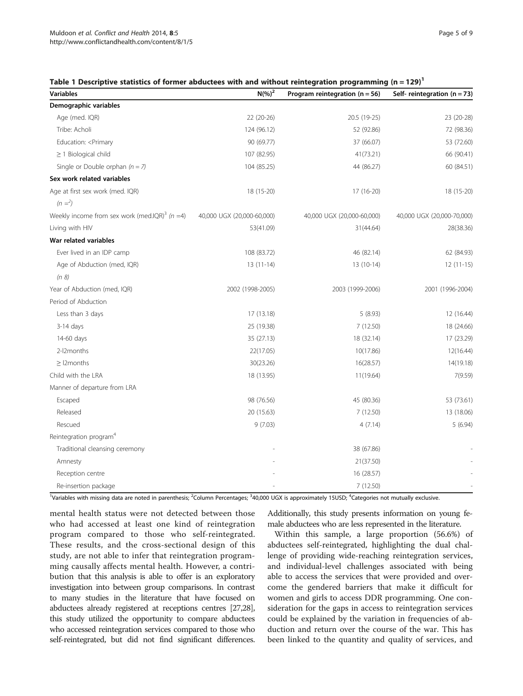#### <span id="page-4-0"></span>Table 1 Descriptive statistics of former abductees with and without reintegration programming (n = 129)<sup>1</sup>

| <b>Variables</b>                                                                                | $N(%)^2$                   | Program reintegration ( $n = 56$ ) | Self-reintegration ( $n = 73$ ) |  |
|-------------------------------------------------------------------------------------------------|----------------------------|------------------------------------|---------------------------------|--|
| Demographic variables                                                                           |                            |                                    |                                 |  |
| Age (med. IQR)                                                                                  | 22 (20-26)                 | 20.5 (19-25)                       | 23 (20-28)                      |  |
| Tribe: Acholi                                                                                   | 124 (96.12)                | 52 (92.86)                         | 72 (98.36)                      |  |
| Education: <primary< td=""><td>90 (69.77)</td><td>37 (66.07)</td><td>53 (72.60)</td></primary<> | 90 (69.77)                 | 37 (66.07)                         | 53 (72.60)                      |  |
| $\geq$ 1 Biological child                                                                       | 107 (82.95)                | 41(73.21)                          | 66 (90.41)                      |  |
| Single or Double orphan $(n = 7)$                                                               | 104 (85.25)                | 44 (86.27)                         | 60 (84.51)                      |  |
| Sex work related variables                                                                      |                            |                                    |                                 |  |
| Age at first sex work (med. IQR)<br>$(n =^2)$                                                   | 18 (15-20)                 | 17 (16-20)                         | 18 (15-20)                      |  |
| Weekly income from sex work (med.IQR) <sup>3</sup> (n =4)                                       | 40,000 UGX (20,000-60,000) | 40,000 UGX (20,000-60,000)         | 40,000 UGX (20,000-70,000)      |  |
| Living with HIV                                                                                 | 53(41.09)                  | 31(44.64)                          | 28(38.36)                       |  |
| War related variables                                                                           |                            |                                    |                                 |  |
| Ever lived in an IDP camp                                                                       | 108 (83.72)                | 46 (82.14)                         | 62 (84.93)                      |  |
| Age of Abduction (med, IQR)                                                                     | $13(11-14)$                | 13 (10-14)                         | $12(11-15)$                     |  |
| (n 8)                                                                                           |                            |                                    |                                 |  |
| Year of Abduction (med, IQR)                                                                    | 2002 (1998-2005)           | 2003 (1999-2006)                   | 2001 (1996-2004)                |  |
| Period of Abduction                                                                             |                            |                                    |                                 |  |
| Less than 3 days                                                                                | 17 (13.18)                 | 5(8.93)                            | 12 (16.44)                      |  |
| $3-14$ days                                                                                     | 25 (19.38)                 | 7(12.50)                           | 18 (24.66)                      |  |
| 14-60 days                                                                                      | 35 (27.13)                 | 18 (32.14)                         | 17 (23.29)                      |  |
| 2-l2months                                                                                      | 22(17.05)                  | 10(17.86)                          | 12(16.44)                       |  |
| $\geq$ 12 months                                                                                | 30(23.26)                  | 16(28.57)                          | 14(19.18)                       |  |
| Child with the LRA                                                                              | 18 (13.95)                 | 11(19.64)                          | 7(9.59)                         |  |
| Manner of departure from LRA                                                                    |                            |                                    |                                 |  |
| Escaped                                                                                         | 98 (76.56)                 | 45 (80.36)                         | 53 (73.61)                      |  |
| Released                                                                                        | 20 (15.63)                 | 7(12.50)                           | 13 (18.06)                      |  |
| Rescued                                                                                         | 9(7.03)                    | 4(7.14)                            | 5(6.94)                         |  |
| Reintegration program <sup>4</sup>                                                              |                            |                                    |                                 |  |
| Traditional cleansing ceremony                                                                  |                            | 38 (67.86)                         |                                 |  |
| Amnesty                                                                                         |                            | 21(37.50)                          |                                 |  |
| Reception centre                                                                                |                            | 16 (28.57)                         |                                 |  |
| Re-insertion package                                                                            |                            | 7 (12.50)                          |                                 |  |

<sup>1</sup>Variables with missing data are noted in parenthesis; <sup>2</sup>Column Percentages; <sup>3</sup>40,000 UGX is approximately 15USD; <sup>4</sup>Categories not mutually exclusive.

mental health status were not detected between those who had accessed at least one kind of reintegration program compared to those who self-reintegrated. These results, and the cross-sectional design of this study, are not able to infer that reintegration programming causally affects mental health. However, a contribution that this analysis is able to offer is an exploratory investigation into between group comparisons. In contrast to many studies in the literature that have focused on abductees already registered at receptions centres [\[27,28](#page-8-0)], this study utilized the opportunity to compare abductees who accessed reintegration services compared to those who self-reintegrated, but did not find significant differences.

Additionally, this study presents information on young female abductees who are less represented in the literature.

Within this sample, a large proportion (56.6%) of abductees self-reintegrated, highlighting the dual challenge of providing wide-reaching reintegration services, and individual-level challenges associated with being able to access the services that were provided and overcome the gendered barriers that make it difficult for women and girls to access DDR programming. One consideration for the gaps in access to reintegration services could be explained by the variation in frequencies of abduction and return over the course of the war. This has been linked to the quantity and quality of services, and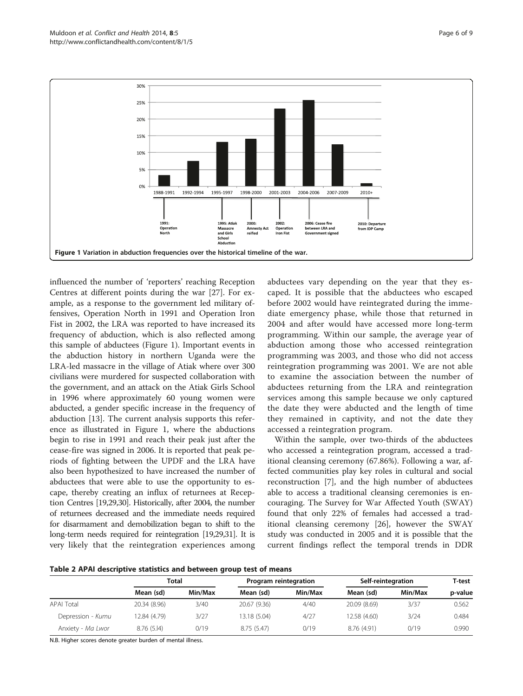<span id="page-5-0"></span>

influenced the number of 'reporters' reaching Reception Centres at different points during the war [[27\]](#page-8-0). For example, as a response to the government led military offensives, Operation North in 1991 and Operation Iron Fist in 2002, the LRA was reported to have increased its frequency of abduction, which is also reflected among this sample of abductees (Figure 1). Important events in the abduction history in northern Uganda were the LRA-led massacre in the village of Atiak where over 300 civilians were murdered for suspected collaboration with the government, and an attack on the Atiak Girls School in 1996 where approximately 60 young women were abducted, a gender specific increase in the frequency of abduction [\[13\]](#page-8-0). The current analysis supports this reference as illustrated in Figure 1, where the abductions begin to rise in 1991 and reach their peak just after the cease-fire was signed in 2006. It is reported that peak periods of fighting between the UPDF and the LRA have also been hypothesized to have increased the number of abductees that were able to use the opportunity to escape, thereby creating an influx of returnees at Reception Centres [\[19,29,30\]](#page-8-0). Historically, after 2004, the number of returnees decreased and the immediate needs required for disarmament and demobilization began to shift to the long-term needs required for reintegration [[19,29,31](#page-8-0)]. It is very likely that the reintegration experiences among

abductees vary depending on the year that they escaped. It is possible that the abductees who escaped before 2002 would have reintegrated during the immediate emergency phase, while those that returned in 2004 and after would have accessed more long-term programming. Within our sample, the average year of abduction among those who accessed reintegration programming was 2003, and those who did not access reintegration programming was 2001. We are not able to examine the association between the number of abductees returning from the LRA and reintegration services among this sample because we only captured the date they were abducted and the length of time they remained in captivity, and not the date they accessed a reintegration program.

Within the sample, over two-thirds of the abductees who accessed a reintegration program, accessed a traditional cleansing ceremony (67.86%). Following a war, affected communities play key roles in cultural and social reconstruction [[7](#page-7-0)], and the high number of abductees able to access a traditional cleansing ceremonies is encouraging. The Survey for War Affected Youth (SWAY) found that only 22% of females had accessed a traditional cleansing ceremony [[26\]](#page-8-0), however the SWAY study was conducted in 2005 and it is possible that the current findings reflect the temporal trends in DDR

Table 2 APAI descriptive statistics and between group test of means

|                   | Total        |         | Program reintegration |         | Self-reintegration |         | T-test  |
|-------------------|--------------|---------|-----------------------|---------|--------------------|---------|---------|
|                   | Mean (sd)    | Min/Max | Mean (sd)             | Min/Max | Mean (sd)          | Min/Max | p-value |
| <b>APAI Total</b> | 20.34 (8.96) | 3/40    | 20.67 (9.36)          | 4/40    | 20.09 (8.69)       | 3/37    | 0.562   |
| Depression - Kumu | 12.84 (4.79) | 3/27    | 13.18 (5.04)          | 4/27    | 12.58 (4.60)       | 3/24    | 0.484   |
| Anxiety - Ma Lwor | 8.76(5.14)   | 0/19    | 8.75(5.47)            | 0/19    | 8.76 (4.91)        | 0/19    | 0.990   |

N.B. Higher scores denote greater burden of mental illness.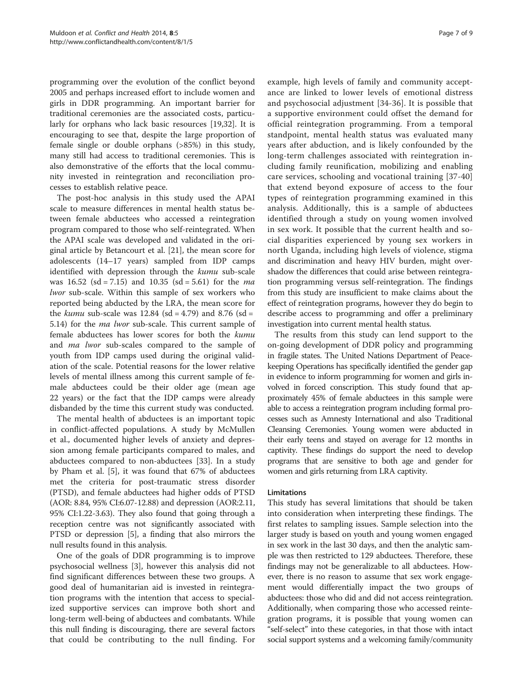programming over the evolution of the conflict beyond 2005 and perhaps increased effort to include women and girls in DDR programming. An important barrier for traditional ceremonies are the associated costs, particularly for orphans who lack basic resources [[19](#page-8-0),[32](#page-8-0)]. It is encouraging to see that, despite the large proportion of female single or double orphans (>85%) in this study, many still had access to traditional ceremonies. This is also demonstrative of the efforts that the local community invested in reintegration and reconciliation processes to establish relative peace.

The post-hoc analysis in this study used the APAI scale to measure differences in mental health status between female abductees who accessed a reintegration program compared to those who self-reintegrated. When the APAI scale was developed and validated in the original article by Betancourt et al. [[21](#page-8-0)], the mean score for adolescents (14–17 years) sampled from IDP camps identified with depression through the *kumu* sub-scale was  $16.52$  (sd = 7.15) and  $10.35$  (sd = 5.61) for the ma lwor sub-scale. Within this sample of sex workers who reported being abducted by the LRA, the mean score for the *kumu* sub-scale was  $12.84$  (sd = 4.79) and  $8.76$  (sd = 5.14) for the ma lwor sub-scale. This current sample of female abductees has lower scores for both the kumu and *ma lwor* sub-scales compared to the sample of youth from IDP camps used during the original validation of the scale. Potential reasons for the lower relative levels of mental illness among this current sample of female abductees could be their older age (mean age 22 years) or the fact that the IDP camps were already disbanded by the time this current study was conducted.

The mental health of abductees is an important topic in conflict-affected populations. A study by McMullen et al., documented higher levels of anxiety and depression among female participants compared to males, and abductees compared to non-abductees [[33\]](#page-8-0). In a study by Pham et al. [[5\]](#page-7-0), it was found that 67% of abductees met the criteria for post-traumatic stress disorder (PTSD), and female abductees had higher odds of PTSD (AOR: 8.84, 95% CI:6.07-12.88) and depression (AOR:2.11, 95% CI:1.22-3.63). They also found that going through a reception centre was not significantly associated with PTSD or depression [\[5\]](#page-7-0), a finding that also mirrors the null results found in this analysis.

One of the goals of DDR programming is to improve psychosocial wellness [[3\]](#page-7-0), however this analysis did not find significant differences between these two groups. A good deal of humanitarian aid is invested in reintegration programs with the intention that access to specialized supportive services can improve both short and long-term well-being of abductees and combatants. While this null finding is discouraging, there are several factors that could be contributing to the null finding. For

example, high levels of family and community acceptance are linked to lower levels of emotional distress and psychosocial adjustment [[34-36\]](#page-8-0). It is possible that a supportive environment could offset the demand for official reintegration programming. From a temporal standpoint, mental health status was evaluated many years after abduction, and is likely confounded by the long-term challenges associated with reintegration including family reunification, mobilizing and enabling care services, schooling and vocational training [\[37-40](#page-8-0)] that extend beyond exposure of access to the four types of reintegration programming examined in this analysis. Additionally, this is a sample of abductees identified through a study on young women involved in sex work. It possible that the current health and social disparities experienced by young sex workers in north Uganda, including high levels of violence, stigma and discrimination and heavy HIV burden, might overshadow the differences that could arise between reintegration programming versus self-reintegration. The findings from this study are insufficient to make claims about the effect of reintegration programs, however they do begin to describe access to programming and offer a preliminary investigation into current mental health status.

The results from this study can lend support to the on-going development of DDR policy and programming in fragile states. The United Nations Department of Peacekeeping Operations has specifically identified the gender gap in evidence to inform programming for women and girls involved in forced conscription. This study found that approximately 45% of female abductees in this sample were able to access a reintegration program including formal processes such as Amnesty International and also Traditional Cleansing Ceremonies. Young women were abducted in their early teens and stayed on average for 12 months in captivity. These findings do support the need to develop programs that are sensitive to both age and gender for women and girls returning from LRA captivity.

# Limitations

This study has several limitations that should be taken into consideration when interpreting these findings. The first relates to sampling issues. Sample selection into the larger study is based on youth and young women engaged in sex work in the last 30 days, and then the analytic sample was then restricted to 129 abductees. Therefore, these findings may not be generalizable to all abductees. However, there is no reason to assume that sex work engagement would differentially impact the two groups of abductees: those who did and did not access reintegration. Additionally, when comparing those who accessed reintegration programs, it is possible that young women can "self-select" into these categories, in that those with intact social support systems and a welcoming family/community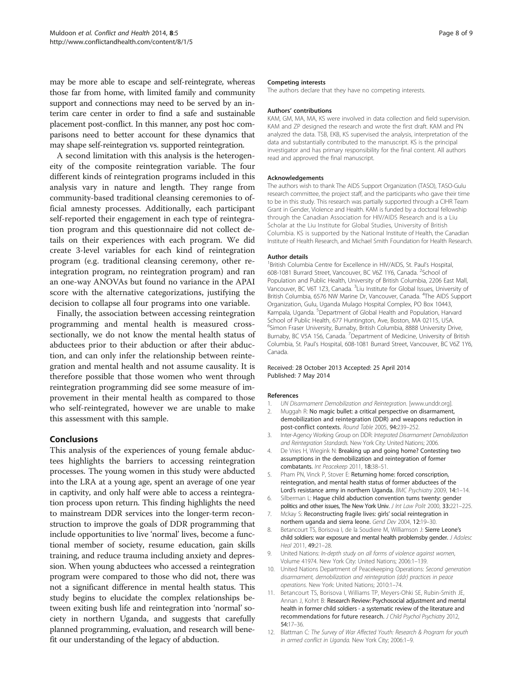<span id="page-7-0"></span>may be more able to escape and self-reintegrate, whereas those far from home, with limited family and community support and connections may need to be served by an interim care center in order to find a safe and sustainable placement post-conflict. In this manner, any post hoc comparisons need to better account for these dynamics that may shape self-reintegration vs. supported reintegration.

A second limitation with this analysis is the heterogeneity of the composite reintegration variable. The four different kinds of reintegration programs included in this analysis vary in nature and length. They range from community-based traditional cleansing ceremonies to official amnesty processes. Additionally, each participant self-reported their engagement in each type of reintegration program and this questionnaire did not collect details on their experiences with each program. We did create 3-level variables for each kind of reintegration program (e.g. traditional cleansing ceremony, other reintegration program, no reintegration program) and ran an one-way ANOVAs but found no variance in the APAI score with the alternative categorizations, justifying the decision to collapse all four programs into one variable.

Finally, the association between accessing reintegration programming and mental health is measured crosssectionally, we do not know the mental health status of abductees prior to their abduction or after their abduction, and can only infer the relationship between reintegration and mental health and not assume causality. It is therefore possible that those women who went through reintegration programming did see some measure of improvement in their mental health as compared to those who self-reintegrated, however we are unable to make this assessment with this sample.

# Conclusions

This analysis of the experiences of young female abductees highlights the barriers to accessing reintegration processes. The young women in this study were abducted into the LRA at a young age, spent an average of one year in captivity, and only half were able to access a reintegration process upon return. This finding highlights the need to mainstream DDR services into the longer-term reconstruction to improve the goals of DDR programming that include opportunities to live 'normal' lives, become a functional member of society, resume education, gain skills training, and reduce trauma including anxiety and depression. When young abductees who accessed a reintegration program were compared to those who did not, there was not a significant difference in mental health status. This study begins to elucidate the complex relationships between exiting bush life and reintegration into 'normal' society in northern Uganda, and suggests that carefully planned programming, evaluation, and research will benefit our understanding of the legacy of abduction.

#### Competing interests

The authors declare that they have no competing interests.

#### Authors' contributions

KAM, GM, MA, MA, KS were involved in data collection and field supervision. KAM and ZP designed the research and wrote the first draft. KAM and PN analyzed the data. TSB, EKB, KS supervised the analysis, interpretation of the data and substantially contributed to the manuscript. KS is the principal investigator and has primary responsibility for the final content. All authors read and approved the final manuscript.

#### Acknowledgements

The authors wish to thank The AIDS Support Organization (TASO), TASO-Gulu research committee, the project staff, and the participants who gave their time to be in this study. This research was partially supported through a CIHR Team Grant in Gender, Violence and Health. KAM is funded by a doctoral fellowship through the Canadian Association for HIV/AIDS Research and is a Liu Scholar at the Liu Institute for Global Studies, University of British Columbia. KS is supported by the National Institute of Health, the Canadian Institute of Health Research, and Michael Smith Foundation for Health Research.

#### Author details

<sup>1</sup> British Columbia Centre for Excellence in HIV/AIDS, St. Paul's Hospital 608-1081 Burrard Street, Vancouver, BC V6Z 1Y6, Canada. <sup>2</sup>School of Population and Public Health, University of British Columbia, 2206 East Mall, Vancouver, BC V6T 1Z3, Canada. <sup>3</sup>Liu Institute for Global Issues, University of British Columbia, 6576 NW Marine Dr, Vancouver, Canada. <sup>4</sup>The AIDS Support Organization, Gulu, Uganda Mulago Hospital Complex, PO Box 10443, Kampala, Uganda. <sup>5</sup>Department of Global Health and Population, Harvard School of Public Health, 677 Huntington, Ave, Boston, MA 02115, USA. <sup>6</sup>Simon Fraser University, Burnaby, British Columbia, 8888 University Drive, Burnaby, BC V5A 1S6, Canada. <sup>7</sup> Department of Medicine, University of British Columbia, St. Paul's Hospital, 608-1081 Burrard Street, Vancouver, BC V6Z 1Y6, Canada.

#### Received: 28 October 2013 Accepted: 25 April 2014 Published: 7 May 2014

#### References

- UN Disarmament Demobilization and Reintegration. [[www.unddr.org](http://www.unddr.org)].
- 2. Muggah R: No magic bullet: a critical perspective on disarmament. demobilization and reintegration (DDR) and weapons reduction in post-conflict contexts. Round Table 2005, 94:239–252.
- 3. Inter-Agency Working Group on DDR: Integrated Disarmament Demobilization and Reintegration Standards. New York City: United Nations; 2006.
- 4. De Vries H, Wiegink N: Breaking up and going home? Contesting two assumptions in the demobilization and reintegration of former combatants. Int Peacekeep 2011, 18:38–51.
- 5. Pham PN, Vinck P, Stover E: Returning home: forced conscription, reintegration, and mental health status of former abductees of the Lord's resistance army in northern Uganda. BMC Psychiatry 2009, 14:1-14.
- 6. Silberman L: Hague child abduction convention turns twenty: gender politics and other issues, The New York Univ. J Int Law Polit 2000, 33:221-225.
- 7. Mckay S: Reconstructing fragile lives: girls' social reintegration in northern uganda and sierra leone. Gend Dev 2004, 12:19–30.
- 8. Betancourt TS, Borisova I, de la Soudiere M, Williamson J: Sierre Leone's child soldiers: war exposure and mental health problemsby gender. J Adolesc Heal 2011, 49:21–28.
- 9. United Nations: In-depth study on all forms of violence against women, Volume 41974. New York City: United Nations; 2006:1–139.
- 10. United Nations Department of Peacekeeping Operations: Second generation disarmament, demobilization and reintegration (ddr) practices in peace operations. New York: United Nations; 2010:1–74.
- 11. Betancourt TS, Borisova I, Williams TP, Meyers-Ohki SE, Rubin-Smith JE, Annan J, Kohrt B: Research Review: Psychosocial adjustment and mental health in former child soldiers - a systematic review of the literature and recommendations for future research. J Child Psychol Psychiatry 2012, 54:17–36.
- 12. Blattman C: The Survey of War Affected Youth: Research & Program for youth in armed conflict in Uganda. New York City; 2006:1–9.